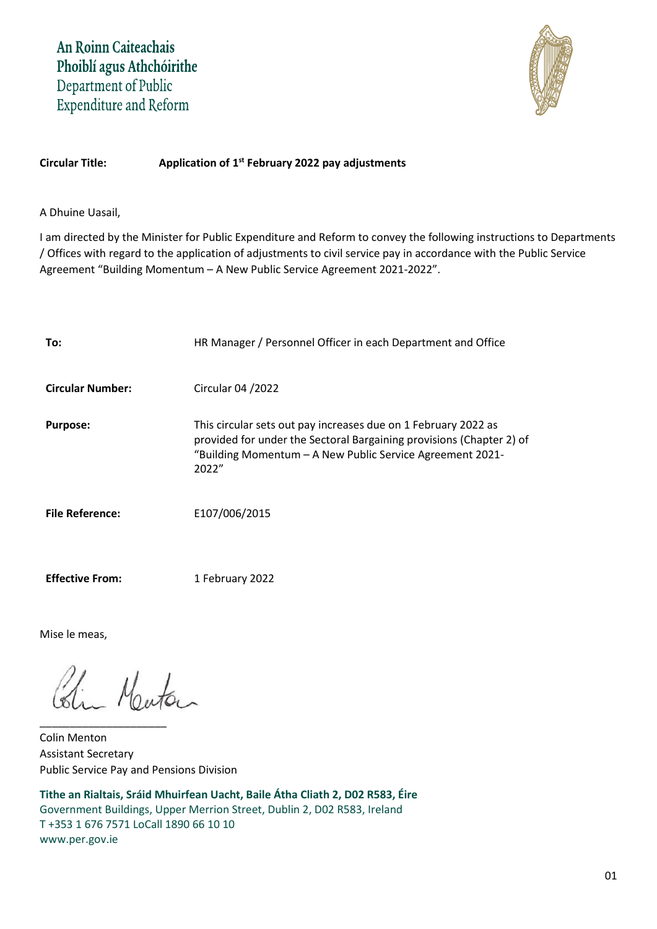

# **Circular Title: Application of 1 st February 2022 pay adjustments**

A Dhuine Uasail,

I am directed by the Minister for Public Expenditure and Reform to convey the following instructions to Departments / Offices with regard to the application of adjustments to civil service pay in accordance with the Public Service Agreement "Building Momentum – A New Public Service Agreement 2021-2022".

| To:                     | HR Manager / Personnel Officer in each Department and Office                                                                                                                                                 |
|-------------------------|--------------------------------------------------------------------------------------------------------------------------------------------------------------------------------------------------------------|
| <b>Circular Number:</b> | Circular 04 / 2022                                                                                                                                                                                           |
| <b>Purpose:</b>         | This circular sets out pay increases due on 1 February 2022 as<br>provided for under the Sectoral Bargaining provisions (Chapter 2) of<br>"Building Momentum - A New Public Service Agreement 2021-<br>2022" |
| <b>File Reference:</b>  | E107/006/2015                                                                                                                                                                                                |
|                         |                                                                                                                                                                                                              |

**Effective From:** 1 February 2022

Mise le meas,

Bin Meuton

\_\_\_\_\_\_\_\_\_\_\_\_\_\_\_\_\_\_\_\_\_

Colin Menton Assistant Secretary Public Service Pay and Pensions Division

**Tithe an Rialtais, Sráid Mhuirfean Uacht, Baile Átha Cliath 2, D02 R583, Éire** Government Buildings, Upper Merrion Street, Dublin 2, D02 R583, Ireland T +353 1 676 7571 LoCall 1890 66 10 10 www.per.gov.ie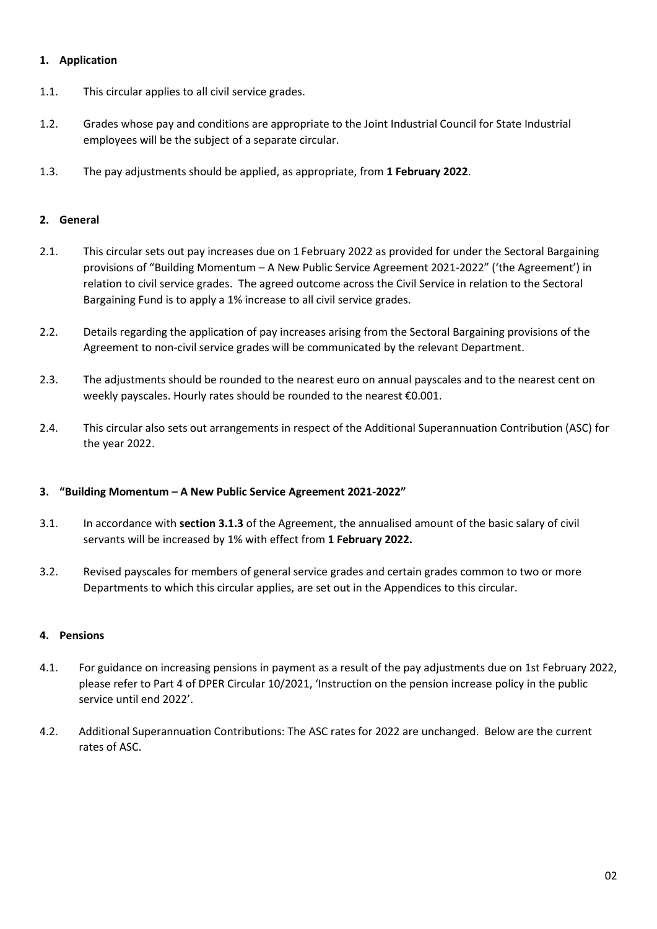# **1. Application**

- 1.1. This circular applies to all civil service grades.
- 1.2. Grades whose pay and conditions are appropriate to the Joint Industrial Council for State Industrial employees will be the subject of a separate circular.
- 1.3. The pay adjustments should be applied, as appropriate, from **1 February 2022**.

# **2. General**

- 2.1. This circular sets out pay increases due on 1 February 2022 as provided for under the Sectoral Bargaining provisions of "Building Momentum – A New Public Service Agreement 2021-2022" ('the Agreement') in relation to civil service grades. The agreed outcome across the Civil Service in relation to the Sectoral Bargaining Fund is to apply a 1% increase to all civil service grades.
- 2.2. Details regarding the application of pay increases arising from the Sectoral Bargaining provisions of the Agreement to non-civil service grades will be communicated by the relevant Department.
- 2.3. The adjustments should be rounded to the nearest euro on annual payscales and to the nearest cent on weekly payscales. Hourly rates should be rounded to the nearest €0.001.
- 2.4. This circular also sets out arrangements in respect of the Additional Superannuation Contribution (ASC) for the year 2022.

## **3. "Building Momentum – A New Public Service Agreement 2021-2022"**

- 3.1. In accordance with **section 3.1.3** of the Agreement, the annualised amount of the basic salary of civil servants will be increased by 1% with effect from **1 February 2022.**
- 3.2. Revised payscales for members of general service grades and certain grades common to two or more Departments to which this circular applies, are set out in the Appendices to this circular.

## **4. Pensions**

- 4.1. For guidance on increasing pensions in payment as a result of the pay adjustments due on 1st February 2022, please refer to Part 4 of DPER Circular 10/2021, 'Instruction on the pension increase policy in the public service until end 2022'.
- 4.2. Additional Superannuation Contributions: The ASC rates for 2022 are unchanged. Below are the current rates of ASC.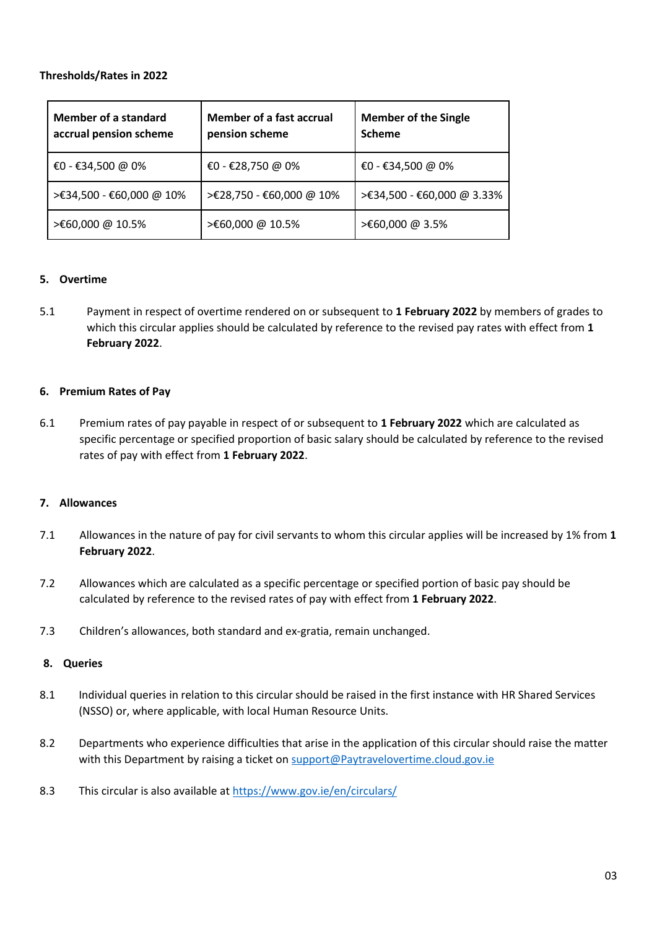# **Thresholds/Rates in 2022**

| Member of a standard<br>accrual pension scheme | Member of a fast accrual<br>pension scheme | <b>Member of the Single</b><br><b>Scheme</b> |
|------------------------------------------------|--------------------------------------------|----------------------------------------------|
| €0 - €34,500 @ 0%                              | €0 - €28,750 @ 0%                          | €0 - €34,500 @ 0%                            |
| >€34,500 - €60,000 @ 10%                       | >€28,750 - €60,000 @ 10%                   | >€34,500 - €60,000 @ 3.33%                   |
| >€60,000 @ 10.5%                               | >€60,000 @ 10.5%                           | >€60,000 @ 3.5%                              |

## **5. Overtime**

5.1 Payment in respect of overtime rendered on or subsequent to **1 February 2022** by members of grades to which this circular applies should be calculated by reference to the revised pay rates with effect from **1 February 2022**.

## **6. Premium Rates of Pay**

6.1 Premium rates of pay payable in respect of or subsequent to **1 February 2022** which are calculated as specific percentage or specified proportion of basic salary should be calculated by reference to the revised rates of pay with effect from **1 February 2022**.

## **7. Allowances**

- 7.1 Allowances in the nature of pay for civil servants to whom this circular applies will be increased by 1% from **1 February 2022**.
- 7.2 Allowances which are calculated as a specific percentage or specified portion of basic pay should be calculated by reference to the revised rates of pay with effect from **1 February 2022**.
- 7.3 Children's allowances, both standard and ex-gratia, remain unchanged.

## **8. Queries**

- 8.1 Individual queries in relation to this circular should be raised in the first instance with HR Shared Services (NSSO) or, where applicable, with local Human Resource Units.
- 8.2 Departments who experience difficulties that arise in the application of this circular should raise the matter with this Department by raising a ticket on [support@Paytravelovertime.cloud.gov.ie](mailto:support@Paytravelovertime.cloud.gov.ie)
- 8.3 This circular is also available a[t https://www.gov.ie/en/circulars/](https://www.gov.ie/en/circulars/)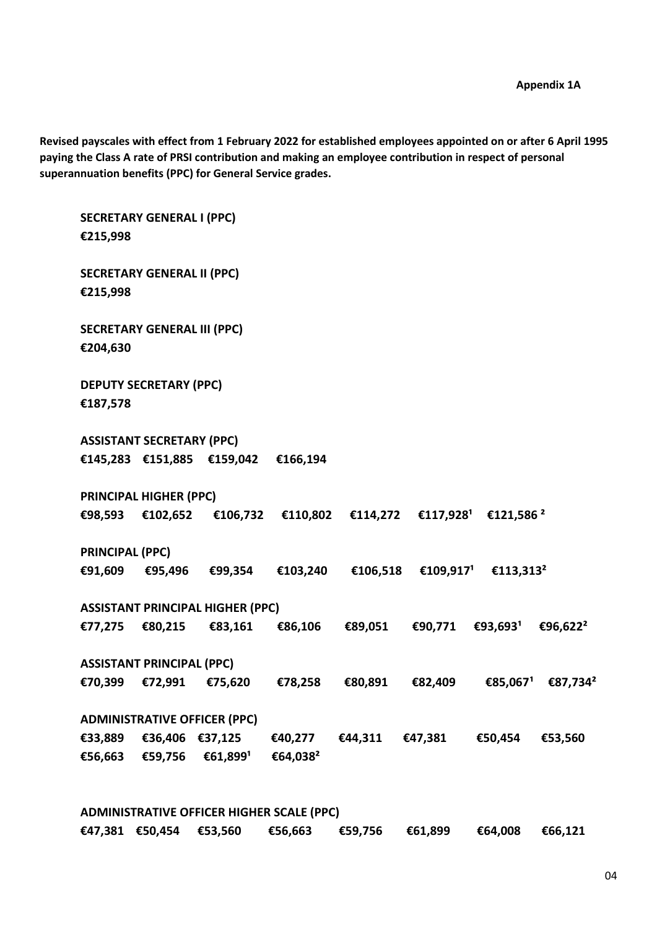**Revised payscales with effect from 1 February 2022 for established employees appointed on or after 6 April 1995 paying the Class A rate of PRSI contribution and making an employee contribution in respect of personal superannuation benefits (PPC) for General Service grades.**

**SECRETARY GENERAL I (PPC) €215,998 SECRETARY GENERAL II (PPC) €215,998 SECRETARY GENERAL III (PPC) €204,630 DEPUTY SECRETARY (PPC) €187,578 ASSISTANT SECRETARY (PPC) €145,283 €151,885 €159,042 €166,194 PRINCIPAL HIGHER (PPC) €98,593 €102,652 €106,732 €110,802 €114,272 €117,928¹ €121,586 ² PRINCIPAL (PPC)**  $€91,609$   $€95,496$   $€99,354$   $€103,240$   $€106,518$   $€109,917$ <sup>1</sup>  $€113,313^2$ **ASSISTANT PRINCIPAL HIGHER (PPC) €77,275 €80,215 €83,161 €86,106 €89,051 €90,771 €93,693¹ €96,622² ASSISTANT PRINCIPAL (PPC) €70,399 €72,991 €75,620 €78,258 €80,891 €82,409 €85,067¹ €87,734² ADMINISTRATIVE OFFICER (PPC) €33,889 €36,406 €37,125 €40,277 €44,311 €47,381 €50,454 €53,560**  $€56,663$  €59,756 €61,899<sup>1</sup> €64,038<sup>2</sup>

**ADMINISTRATIVE OFFICER HIGHER SCALE (PPC) €47,381 €50,454 €53,560 €56,663 €59,756 €61,899 €64,008 €66,121**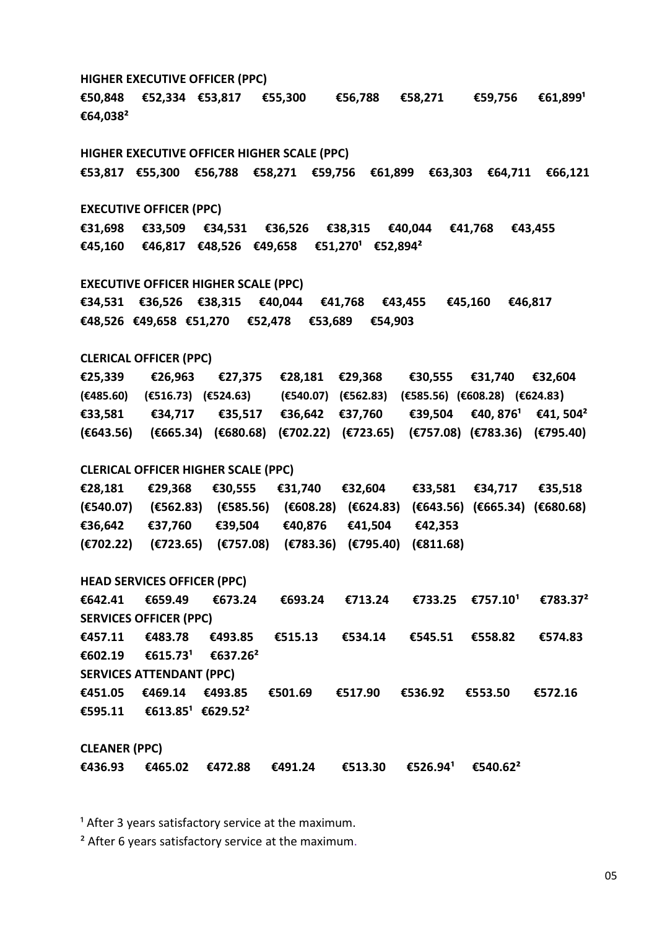**HIGHER EXECUTIVE OFFICER (PPC) €50,848 €52,334 €53,817 €55,300 €56,788 €58,271 €59,756 €61,899¹ €64,038²**

**HIGHER EXECUTIVE OFFICER HIGHER SCALE (PPC) €53,817 €55,300 €56,788 €58,271 €59,756 €61,899 €63,303 €64,711 €66,121**

#### **EXECUTIVE OFFICER (PPC)**

**€31,698 €33,509 €34,531 €36,526 €38,315 €40,044 €41,768 €43,455 €45,160 €46,817 €48,526 €49,658 €51,270¹ €52,894²**

**EXECUTIVE OFFICER HIGHER SCALE (PPC)**

**€34,531 €36,526 €38,315 €40,044 €41,768 €43,455 €45,160 €46,817 €48,526 €49,658 €51,270 €52,478 €53,689 €54,903**

#### **CLERICAL OFFICER (PPC)**

**€25,339 €26,963 €27,375 €28,181 €29,368 €30,555 €31,740 €32,604 (€485.60) (€516.73) (€524.63) (€540.07) (€562.83) (€585.56) (€608.28) (€624.83) €33,581 €34,717 €35,517 €36,642 €37,760 €39,504 €40, 876¹ €41, 504² (€643.56) (€665.34) (€680.68) (€702.22) (€723.65) (€757.08) (€783.36) (€795.40)**

#### **CLERICAL OFFICER HIGHER SCALE (PPC)**

**€28,181 €29,368 €30,555 €31,740 €32,604 €33,581 €34,717 €35,518 (€540.07) (€562.83) (€585.56) (€608.28) (€624.83) (€643.56) (€665.34) (€680.68) €36,642 €37,760 €39,504 €40,876 €41,504 €42,353 (€702.22) (€723.65) (€757.08) (€783.36) (€795.40) (€811.68)**

**HEAD SERVICES OFFICER (PPC)**

 $€642.41$  €659.49 €673.24 €693.24 €713.24 €733.25 €757.10<sup>1</sup> €783.37<sup>2</sup> **SERVICES OFFICER (PPC) €457.11 €483.78 €493.85 €515.13 €534.14 €545.51 €558.82 €574.83 €602.19 €615.73¹ €637.26² SERVICES ATTENDANT (PPC) €451.05 €469.14 €493.85 €501.69 €517.90 €536.92 €553.50 €572.16 €595.11 €613.85¹ €629.52²**

**CLEANER (PPC)**

 $€436.93$   $€465.02$   $€472.88$   $€491.24$   $€513.30$   $€526.94$ <sup>1</sup>  $€540.62$ <sup>2</sup>

 $1$  After 3 years satisfactory service at the maximum.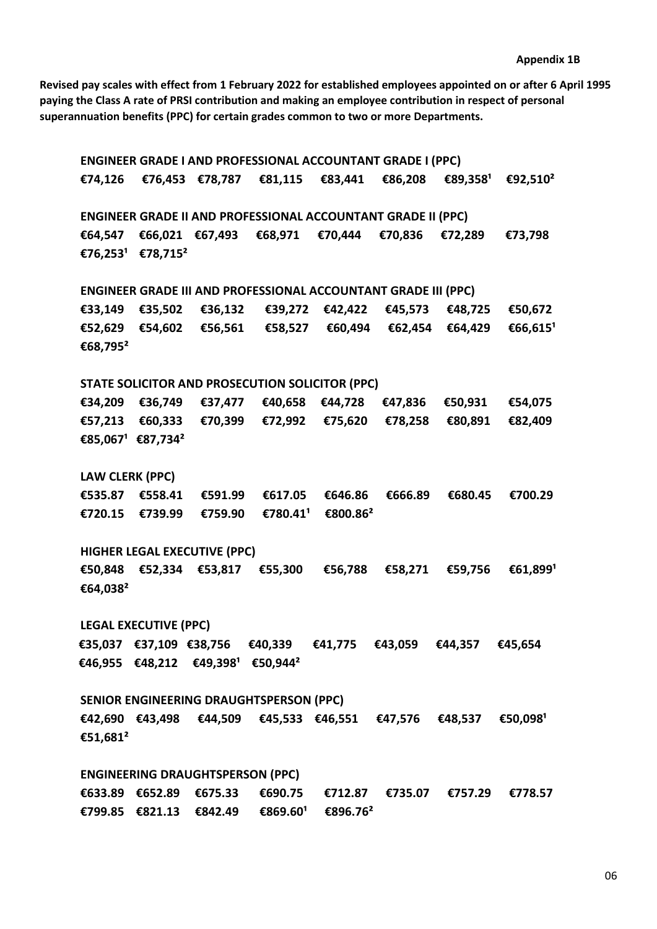**Revised pay scales with effect from 1 February 2022 for established employees appointed on or after 6 April 1995 paying the Class A rate of PRSI contribution and making an employee contribution in respect of personal superannuation benefits (PPC) for certain grades common to two or more Departments.**

**ENGINEER GRADE I AND PROFESSIONAL ACCOUNTANT GRADE I (PPC) €74,126 €76,453 €78,787 €81,115 €83,441 €86,208 €89,358¹ €92,510² ENGINEER GRADE II AND PROFESSIONAL ACCOUNTANT GRADE II (PPC) €64,547 €66,021 €67,493 €68,971 €70,444 €70,836 €72,289 €73,798 €76,253¹ €78,715² ENGINEER GRADE III AND PROFESSIONAL ACCOUNTANT GRADE III (PPC) €33,149 €35,502 €36,132 €39,272 €42,422 €45,573 €48,725 €50,672 €52,629 €54,602 €56,561 €58,527 €60,494 €62,454 €64,429 €66,615¹ €68,795² STATE SOLICITOR AND PROSECUTION SOLICITOR (PPC) €34,209 €36,749 €37,477 €40,658 €44,728 €47,836 €50,931 €54,075 €57,213 €60,333 €70,399 €72,992 €75,620 €78,258 €80,891 €82,409 €85,067¹ €87,734² LAW CLERK (PPC) €535.87 €558.41 €591.99 €617.05 €646.86 €666.89 €680.45 €700.29 €720.15 €739.99 €759.90 €780.41¹ €800.86² HIGHER LEGAL EXECUTIVE (PPC) €50,848 €52,334 €53,817 €55,300 €56,788 €58,271 €59,756 €61,899¹ €64,038² LEGAL EXECUTIVE (PPC) €35,037 €37,109 €38,756 €40,339 €41,775 €43,059 €44,357 €45,654 €46,955 €48,212 €49,398¹ €50,944² SENIOR ENGINEERING DRAUGHTSPERSON (PPC) €42,690 €43,498 €44,509 €45,533 €46,551 €47,576 €48,537 €50,098¹ €51,681² ENGINEERING DRAUGHTSPERSON (PPC) €633.89 €652.89 €675.33 €690.75 €712.87 €735.07 €757.29 €778.57**

**€799.85 €821.13 €842.49 €869.60¹ €896.76²**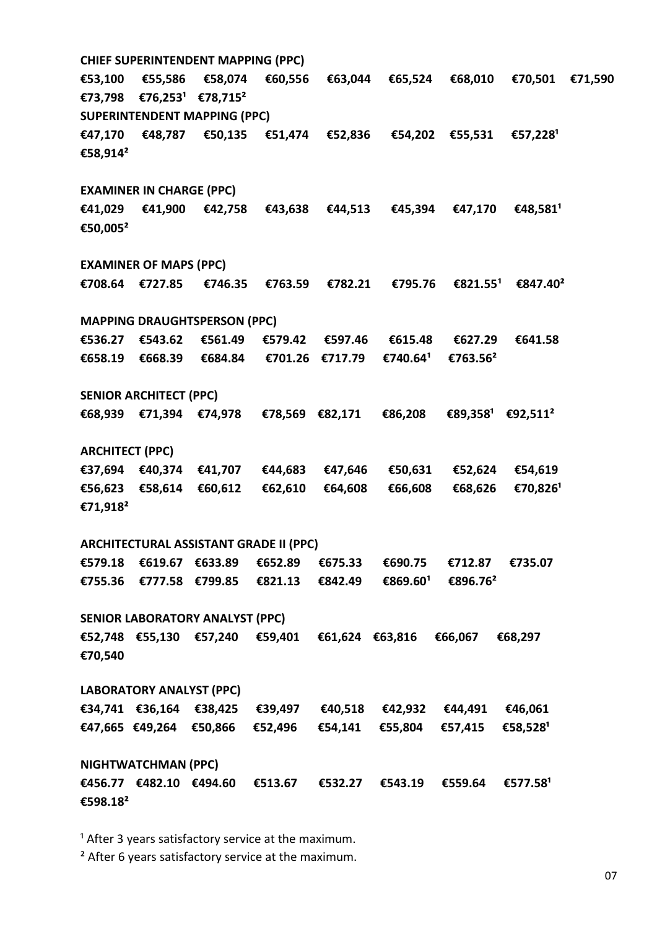**CHIEF SUPERINTENDENT MAPPING (PPC) €53,100 €55,586 €58,074 €60,556 €63,044 €65,524 €68,010 €70,501 €71,590 €73,798 €76,253¹ €78,715² SUPERINTENDENT MAPPING (PPC) €47,170 €48,787 €50,135 €51,474 €52,836 €54,202 €55,531 €57,228¹ €58,914² EXAMINER IN CHARGE (PPC) €41,029 €41,900 €42,758 €43,638 €44,513 €45,394 €47,170 €48,581¹ €50,005² EXAMINER OF MAPS (PPC) €708.64 €727.85 €746.35 €763.59 €782.21 €795.76 €821.55¹ €847.40² MAPPING DRAUGHTSPERSON (PPC) €536.27 €543.62 €561.49 €579.42 €597.46 €615.48 €627.29 €641.58 €658.19 €668.39 €684.84 €701.26 €717.79 €740.64¹ €763.56² SENIOR ARCHITECT (PPC) €68,939 €71,394 €74,978 €78,569 €82,171 €86,208 €89,358¹ €92,511² ARCHITECT (PPC) €37,694 €40,374 €41,707 €44,683 €47,646 €50,631 €52,624 €54,619 €56,623 €58,614 €60,612 €62,610 €64,608 €66,608 €68,626 €70,826¹ €71,918² ARCHITECTURAL ASSISTANT GRADE II (PPC) €579.18 €619.67 €633.89 €652.89 €675.33 €690.75 €712.87 €735.07 €755.36 €777.58 €799.85 €821.13 €842.49 €869.60¹ €896.76² SENIOR LABORATORY ANALYST (PPC) €52,748 €55,130 €57,240 €59,401 €61,624 €63,816 €66,067 €68,297 €70,540 LABORATORY ANALYST (PPC) €34,741 €36,164 €38,425 €39,497 €40,518 €42,932 €44,491 €46,061 €47,665 €49,264 €50,866 €52,496 €54,141 €55,804 €57,415 €58,528¹ NIGHTWATCHMAN (PPC) €456.77 €482.10 €494.60 €513.67 €532.27 €543.19 €559.64 €577.58¹ €598.18²** 

<sup>1</sup> After 3 years satisfactory service at the maximum.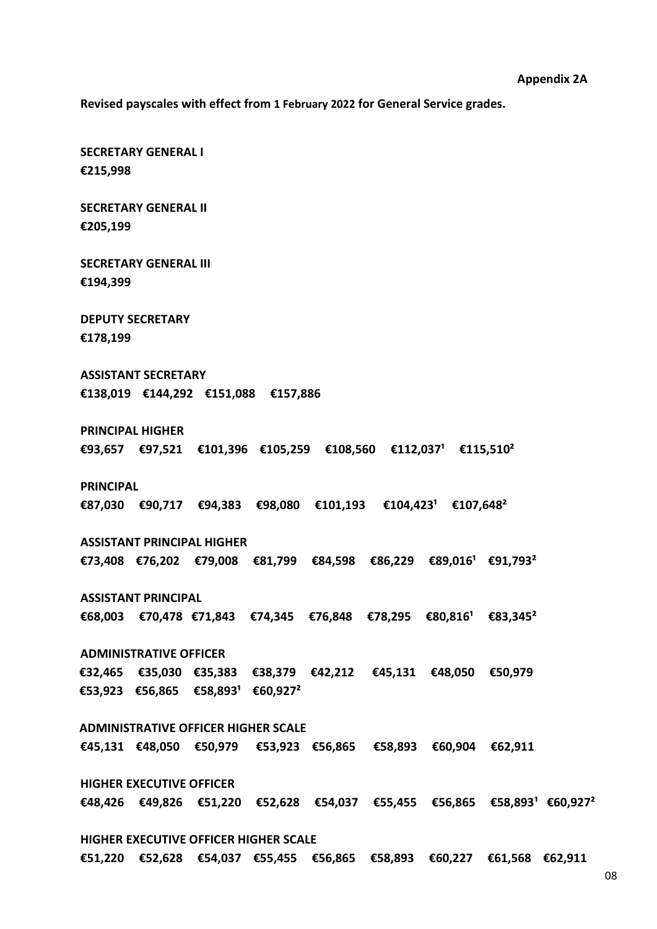**Revised payscales with effect from 1 February 2022 for General Service grades.**

**SECRETARY GENERAL I €215,998**

**SECRETARY GENERAL II €205,199**

**SECRETARY GENERAL III €194,399**

**DEPUTY SECRETARY €178,199**

**ASSISTANT SECRETARY €138,019 €144,292 €151,088 €157,886** 

**ADMINISTRATIVE OFFICER HIGHER SCALE**

**HIGHER EXECUTIVE OFFICER HIGHER SCALE**

**HIGHER EXECUTIVE OFFICER**

**PRINCIPAL HIGHER €93,657 €97,521 €101,396 €105,259 €108,560 €112,037¹ €115,510²** 

**PRINCIPAL**

**€87,030 €90,717 €94,383 €98,080 €101,193 €104,423¹ €107,648²**

**ASSISTANT PRINCIPAL HIGHER €73,408 €76,202 €79,008 €81,799 €84,598 €86,229 €89,016¹ €91,793²**

**ASSISTANT PRINCIPAL**  $€68,003$  €70,478 €71,843 €74,345 €76,848 €78,295 €80,816<sup>1</sup> €83,345<sup>2</sup>

**ADMINISTRATIVE OFFICER**

**€45,131 €48,050 €50,979 €53,923 €56,865 €58,893 €60,904 €62,911**

**€32,465 €35,030 €35,383 €38,379 €42,212 €45,131 €48,050 €50,979**

**€53,923 €56,865 €58,893¹ €60,927²**

**€48,426 €49,826 €51,220 €52,628 €54,037 €55,455 €56,865 €58,893¹ €60,927²**

**€51,220 €52,628 €54,037 €55,455 €56,865 €58,893 €60,227 €61,568 €62,911**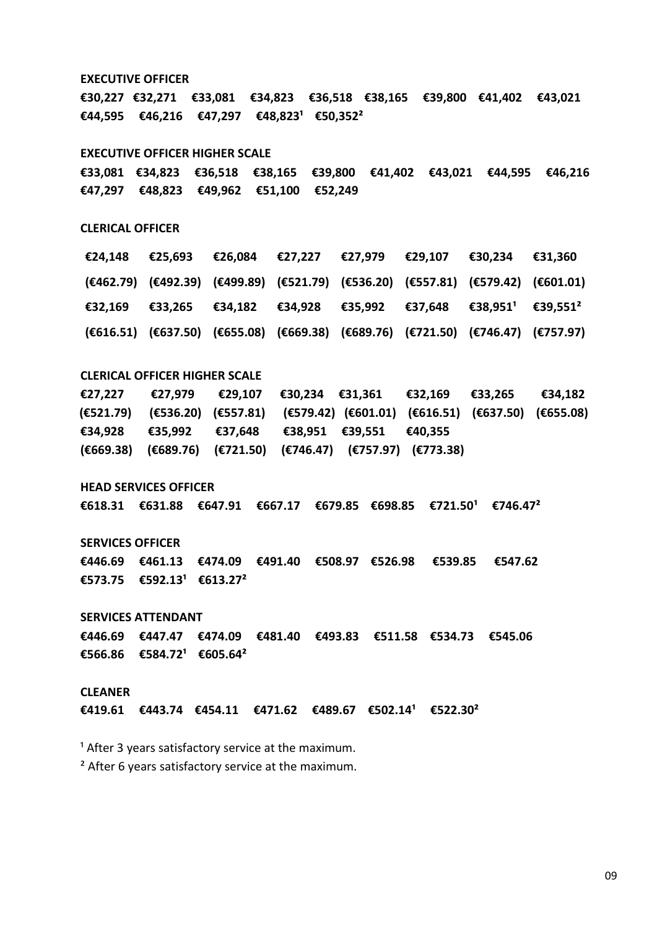**EXECUTIVE OFFICER €30,227 €32,271 €33,081 €34,823 €36,518 €38,165 €39,800 €41,402 €43,021 €44,595 €46,216 €47,297 €48,823¹ €50,352² EXECUTIVE OFFICER HIGHER SCALE €33,081 €34,823 €36,518 €38,165 €39,800 €41,402 €43,021 €44,595 €46,216 €47,297 €48,823 €49,962 €51,100 €52,249 CLERICAL OFFICER CLERICAL OFFICER HIGHER SCALE €27,227 €27,979 €29,107 €30,234 €31,361 €32,169 €33,265 €34,182 (€521.79) (€536.20) (€557.81) (€579.42) (€601.01) (€616.51) (€637.50) (€655.08) €34,928 €35,992 €37,648 €38,951 €39,551 €40,355 (€669.38) (€689.76) (€721.50) (€746.47) (€757.97) (€773.38) €24,148 €25,693 €26,084 €27,227 €27,979 €29,107 €30,234 €31,360 (€462.79) (€492.39) (€499.89) (€521.79) (€536.20) (€557.81) (€579.42) (€601.01) €32,169 €33,265 €34,182 €34,928 €35,992 €37,648 €38,951¹ €39,551² (€616.51) (€637.50) (€655.08) (€669.38) (€689.76) (€721.50) (€746.47) (€757.97)**

**HEAD SERVICES OFFICER**

**€618.31 €631.88 €647.91 €667.17 €679.85 €698.85 €721.50¹ €746.47²**

**SERVICES OFFICER**

**€446.69 €461.13 €474.09 €491.40 €508.97 €526.98 €539.85 €547.62 €573.75 €592.13¹ €613.27²**

**SERVICES ATTENDANT**

**€446.69 €447.47 €474.09 €481.40 €493.83 €511.58 €534.73 €545.06 €566.86 €584.72¹ €605.64²**

#### **CLEANER**

 $€419.61$   $€443.74$   $€454.11$   $€471.62$   $€489.67$   $€502.14$ <sup>1</sup>  $€522.30$ <sup>2</sup>

 $1$  After 3 years satisfactory service at the maximum.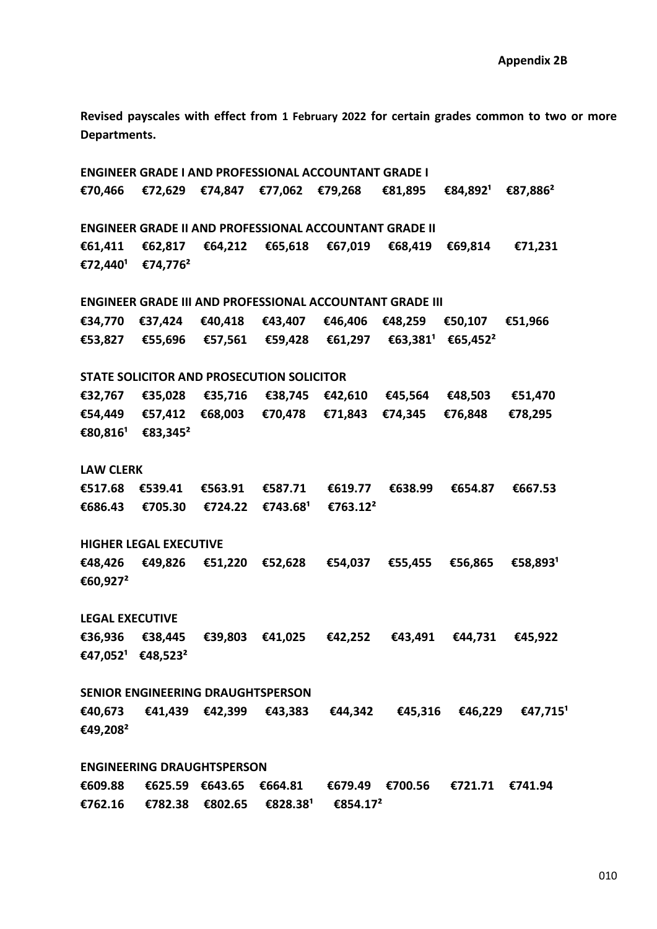**Revised payscales with effect from 1 February 2022 for certain grades common to two or more Departments.**

**ENGINEER GRADE I AND PROFESSIONAL ACCOUNTANT GRADE I €70,466 €72,629 €74,847 €77,062 €79,268 €81,895 €84,892¹ €87,886² ENGINEER GRADE II AND PROFESSIONAL ACCOUNTANT GRADE II €61,411 €62,817 €64,212 €65,618 €67,019 €68,419 €69,814 €71,231 €72,440¹ €74,776² ENGINEER GRADE III AND PROFESSIONAL ACCOUNTANT GRADE III €34,770 €37,424 €40,418 €43,407 €46,406 €48,259 €50,107 €51,966 €53,827 €55,696 €57,561 €59,428 €61,297 €63,381¹ €65,452² STATE SOLICITOR AND PROSECUTION SOLICITOR €32,767 €35,028 €35,716 €38,745 €42,610 €45,564 €48,503 €51,470 €54,449 €57,412 €68,003 €70,478 €71,843 €74,345 €76,848 €78,295 €80,816¹ €83,345² LAW CLERK €517.68 €539.41 €563.91 €587.71 €619.77 €638.99 €654.87 €667.53 €686.43 €705.30 €724.22 €743.68¹ €763.12² HIGHER LEGAL EXECUTIVE €48,426 €49,826 €51,220 €52,628 €54,037 €55,455 €56,865 €58,893¹ €60,927² LEGAL EXECUTIVE €36,936 €38,445 €39,803 €41,025 €42,252 €43,491 €44,731 €45,922 €47,052¹ €48,523² SENIOR ENGINEERING DRAUGHTSPERSON €40,673 €41,439 €42,399 €43,383 €44,342 €45,316 €46,229 €47,715¹ €49,208² ENGINEERING DRAUGHTSPERSON €609.88 €625.59 €643.65 €664.81 €679.49 €700.56 €721.71 €741.94 €762.16 €782.38 €802.65 €828.38¹ €854.17²**